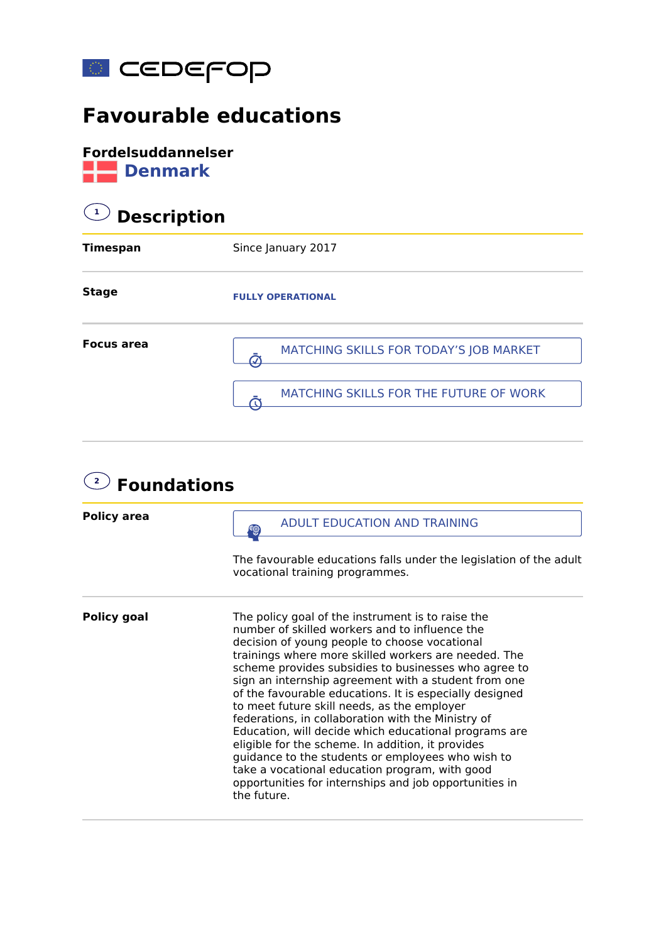

## **Favourable educations**

**Fordelsuddannelser Denmark** 

## **1 Description**

| <b>Timespan</b>   | Since January 2017                     |
|-------------------|----------------------------------------|
| <b>Stage</b>      | <b>FULLY OPERATIONAL</b>               |
| <b>Focus area</b> | MATCHING SKILLS FOR TODAY'S JOB MARKET |
|                   | MATCHING SKILLS FOR THE FUTURE OF WORK |

| $\mathbf{2}$<br><b>Foundations</b> |                                                                                                                                                                                                                                                                                                                                                                                                                                                                                                                                                                                                                                                                                                                                                                                            |  |
|------------------------------------|--------------------------------------------------------------------------------------------------------------------------------------------------------------------------------------------------------------------------------------------------------------------------------------------------------------------------------------------------------------------------------------------------------------------------------------------------------------------------------------------------------------------------------------------------------------------------------------------------------------------------------------------------------------------------------------------------------------------------------------------------------------------------------------------|--|
| <b>Policy area</b>                 | <b>ADULT EDUCATION AND TRAINING</b>                                                                                                                                                                                                                                                                                                                                                                                                                                                                                                                                                                                                                                                                                                                                                        |  |
|                                    | The favourable educations falls under the legislation of the adult<br>vocational training programmes.                                                                                                                                                                                                                                                                                                                                                                                                                                                                                                                                                                                                                                                                                      |  |
| <b>Policy goal</b>                 | The policy goal of the instrument is to raise the<br>number of skilled workers and to influence the<br>decision of young people to choose vocational<br>trainings where more skilled workers are needed. The<br>scheme provides subsidies to businesses who agree to<br>sign an internship agreement with a student from one<br>of the favourable educations. It is especially designed<br>to meet future skill needs, as the employer<br>federations, in collaboration with the Ministry of<br>Education, will decide which educational programs are<br>eligible for the scheme. In addition, it provides<br>guidance to the students or employees who wish to<br>take a vocational education program, with good<br>opportunities for internships and job opportunities in<br>the future. |  |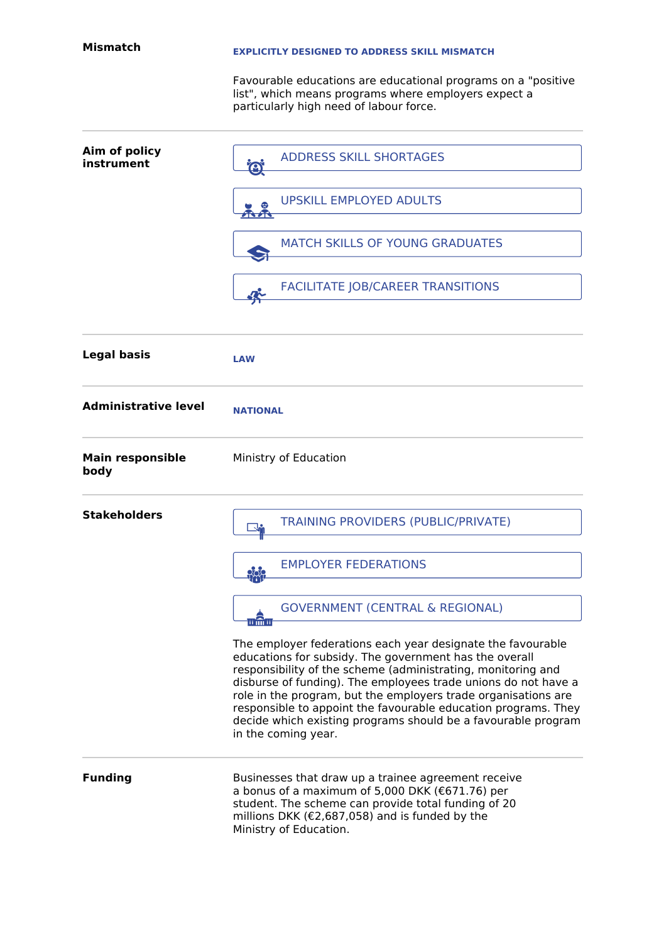## **EXPLICITLY DESIGNED TO ADDRESS SKILL MISMATCH**

Favourable educations are educational programs on a "positive list", which means programs where employers expect a particularly high need of labour force.

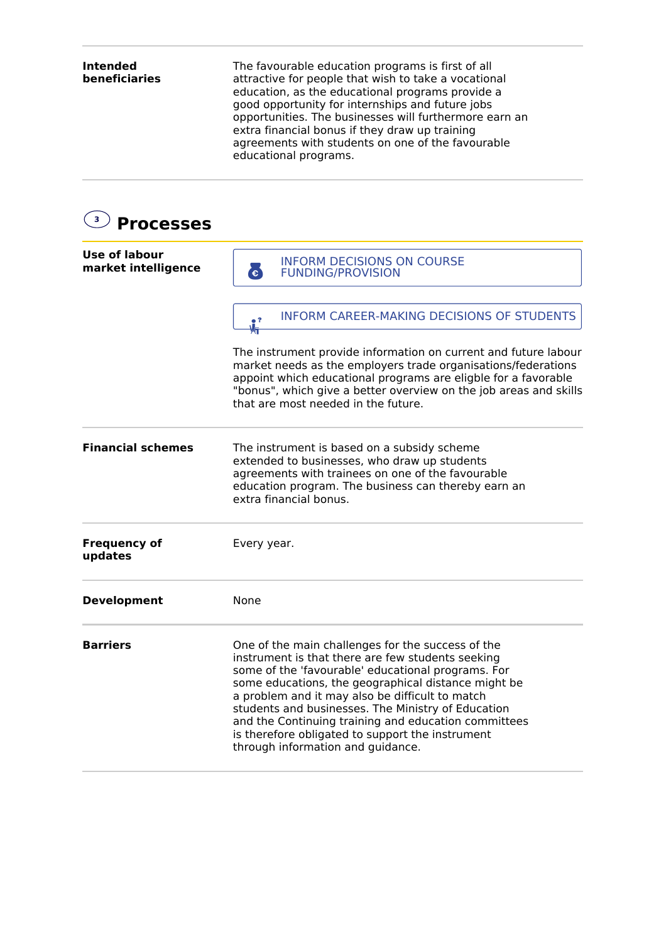**Intended beneficiaries** The favourable education programs is first of all attractive for people that wish to take a vocational education, as the educational programs provide a good opportunity for internships and future jobs opportunities. The businesses will furthermore earn an extra financial bonus if they draw up training agreements with students on one of the favourable educational programs. **3 Processes Use of labour market intelligence** The instrument provide information on current and future labour market needs as the employers trade organisations/federations appoint which educational programs are eligble for a favorable "bonus", which give a better overview on the job areas and skills that are most needed in the future. **Financial schemes** The instrument is based on a subsidy scheme extended to businesses, who draw up students agreements with trainees on one of the favourable education program. The business can thereby earn an extra financial bonus. **Frequency of updates** Every year. **Development** None **Barriers** One of the main challenges for the success of the instrument is that there are few students seeking some of the 'favourable' educational programs. For some educations, the geographical distance might be a problem and it may also be difficult to match students and businesses. The Ministry of Education and the Continuing training and education committees is therefore obligated to support the instrument through information and guidance. **EN INFORM DECISIONS ON COURSE** INFORM CAREER-MAKING DECISIONS OF STUDENTS